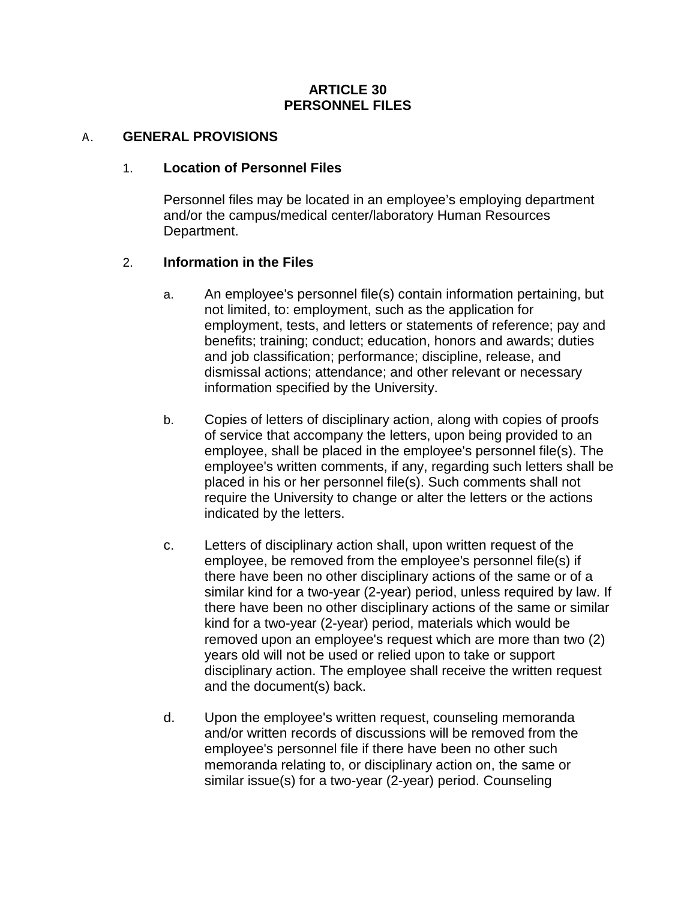### **ARTICLE 30 PERSONNEL FILES**

### A. **GENERAL PROVISIONS**

#### 1. **Location of Personnel Files**

Personnel files may be located in an employee's employing department and/or the campus/medical center/laboratory Human Resources Department.

### 2. **Information in the Files**

- a. An employee's personnel file(s) contain information pertaining, but not limited, to: employment, such as the application for employment, tests, and letters or statements of reference; pay and benefits; training; conduct; education, honors and awards; duties and job classification; performance; discipline, release, and dismissal actions; attendance; and other relevant or necessary information specified by the University.
- b. Copies of letters of disciplinary action, along with copies of proofs of service that accompany the letters, upon being provided to an employee, shall be placed in the employee's personnel file(s). The employee's written comments, if any, regarding such letters shall be placed in his or her personnel file(s). Such comments shall not require the University to change or alter the letters or the actions indicated by the letters.
- c. Letters of disciplinary action shall, upon written request of the employee, be removed from the employee's personnel file(s) if there have been no other disciplinary actions of the same or of a similar kind for a two-year (2-year) period, unless required by law. If there have been no other disciplinary actions of the same or similar kind for a two-year (2-year) period, materials which would be removed upon an employee's request which are more than two (2) years old will not be used or relied upon to take or support disciplinary action. The employee shall receive the written request and the document(s) back.
- d. Upon the employee's written request, counseling memoranda and/or written records of discussions will be removed from the employee's personnel file if there have been no other such memoranda relating to, or disciplinary action on, the same or similar issue(s) for a two-year (2-year) period. Counseling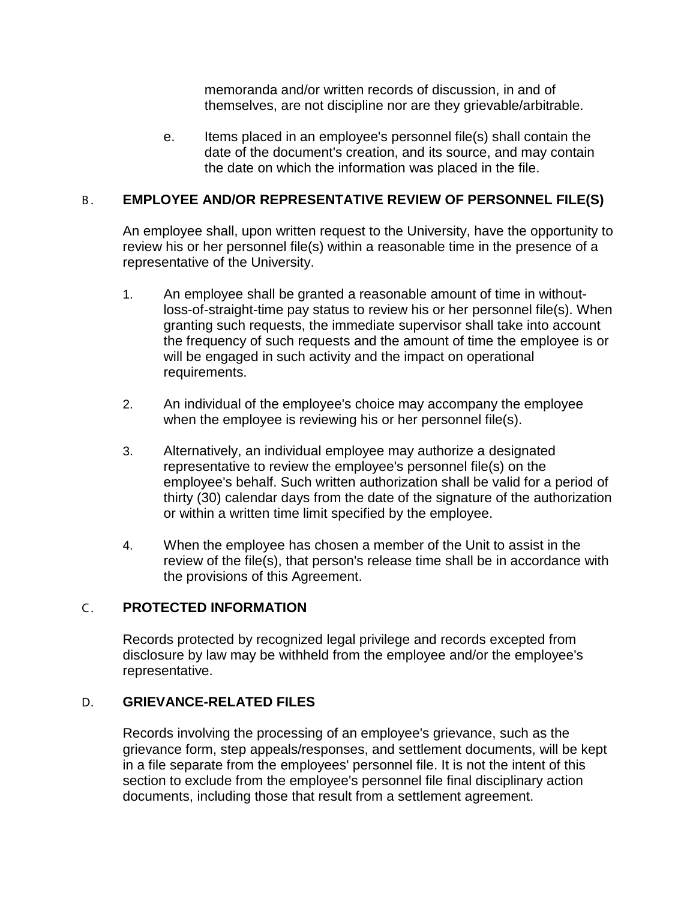memoranda and/or written records of discussion, in and of themselves, are not discipline nor are they grievable/arbitrable.

e. Items placed in an employee's personnel file(s) shall contain the date of the document's creation, and its source, and may contain the date on which the information was placed in the file.

# B . **EMPLOYEE AND/OR REPRESENTATIVE REVIEW OF PERSONNEL FILE(S)**

An employee shall, upon written request to the University, have the opportunity to review his or her personnel file(s) within a reasonable time in the presence of a representative of the University.

- 1. An employee shall be granted a reasonable amount of time in withoutloss-of-straight-time pay status to review his or her personnel file(s). When granting such requests, the immediate supervisor shall take into account the frequency of such requests and the amount of time the employee is or will be engaged in such activity and the impact on operational requirements.
- 2. An individual of the employee's choice may accompany the employee when the employee is reviewing his or her personnel file(s).
- 3. Alternatively, an individual employee may authorize a designated representative to review the employee's personnel file(s) on the employee's behalf. Such written authorization shall be valid for a period of thirty (30) calendar days from the date of the signature of the authorization or within a written time limit specified by the employee.
- 4. When the employee has chosen a member of the Unit to assist in the review of the file(s), that person's release time shall be in accordance with the provisions of this Agreement.

### C . **PROTECTED INFORMATION**

Records protected by recognized legal privilege and records excepted from disclosure by law may be withheld from the employee and/or the employee's representative.

### D. **GRIEVANCE-RELATED FILES**

Records involving the processing of an employee's grievance, such as the grievance form, step appeals/responses, and settlement documents, will be kept in a file separate from the employees' personnel file. It is not the intent of this section to exclude from the employee's personnel file final disciplinary action documents, including those that result from a settlement agreement.